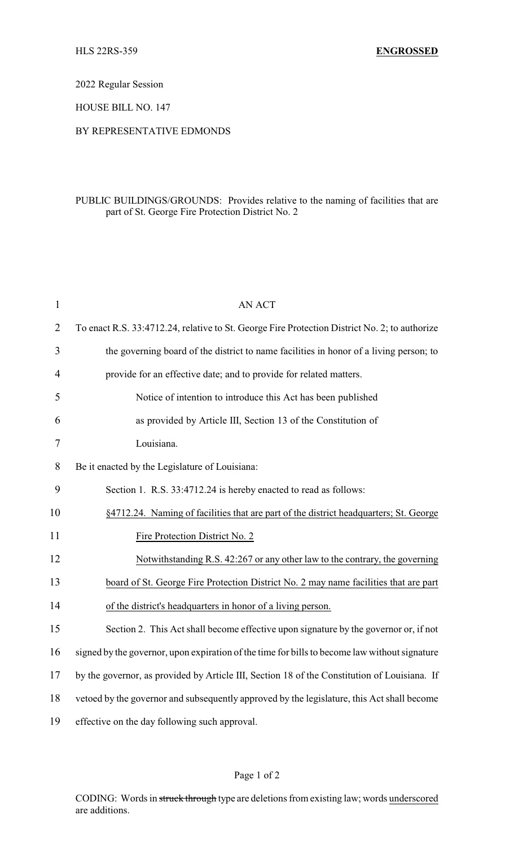2022 Regular Session

HOUSE BILL NO. 147

## BY REPRESENTATIVE EDMONDS

## PUBLIC BUILDINGS/GROUNDS: Provides relative to the naming of facilities that are part of St. George Fire Protection District No. 2

| $\mathbf{1}$   | <b>AN ACT</b>                                                                                 |
|----------------|-----------------------------------------------------------------------------------------------|
| $\overline{2}$ | To enact R.S. 33:4712.24, relative to St. George Fire Protection District No. 2; to authorize |
| 3              | the governing board of the district to name facilities in honor of a living person; to        |
| 4              | provide for an effective date; and to provide for related matters.                            |
| 5              | Notice of intention to introduce this Act has been published                                  |
| 6              | as provided by Article III, Section 13 of the Constitution of                                 |
| 7              | Louisiana.                                                                                    |
| 8              | Be it enacted by the Legislature of Louisiana:                                                |
| 9              | Section 1. R.S. 33:4712.24 is hereby enacted to read as follows:                              |
| 10             | §4712.24. Naming of facilities that are part of the district headquarters; St. George         |
| 11             | Fire Protection District No. 2                                                                |
| 12             | Notwithstanding R.S. 42:267 or any other law to the contrary, the governing                   |
| 13             | board of St. George Fire Protection District No. 2 may name facilities that are part          |
| 14             | of the district's headquarters in honor of a living person.                                   |
| 15             | Section 2. This Act shall become effective upon signature by the governor or, if not          |
| 16             | signed by the governor, upon expiration of the time for bills to become law without signature |
| 17             | by the governor, as provided by Article III, Section 18 of the Constitution of Louisiana. If  |
| 18             | vetoed by the governor and subsequently approved by the legislature, this Act shall become    |
| 19             | effective on the day following such approval.                                                 |

## Page 1 of 2

CODING: Words in struck through type are deletions from existing law; words underscored are additions.